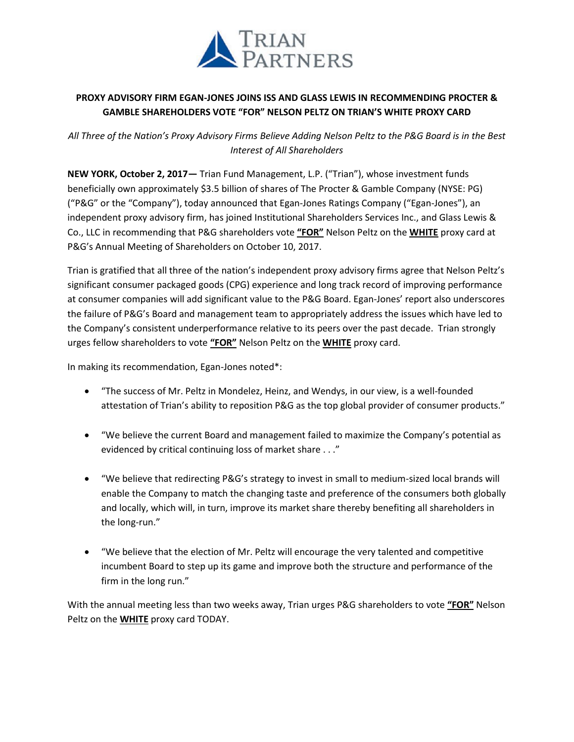

## **PROXY ADVISORY FIRM EGAN-JONES JOINS ISS AND GLASS LEWIS IN RECOMMENDING PROCTER & GAMBLE SHAREHOLDERS VOTE "FOR" NELSON PELTZ ON TRIAN'S WHITE PROXY CARD**

*All Three of the Nation's Proxy Advisory Firms Believe Adding Nelson Peltz to the P&G Board is in the Best Interest of All Shareholders*

**NEW YORK, October 2, 2017—** Trian Fund Management, L.P. ("Trian"), whose investment funds beneficially own approximately \$3.5 billion of shares of The Procter & Gamble Company (NYSE: PG) ("P&G" or the "Company"), today announced that Egan-Jones Ratings Company ("Egan-Jones"), an independent proxy advisory firm, has joined Institutional Shareholders Services Inc., and Glass Lewis & Co., LLC in recommending that P&G shareholders vote **"FOR"** Nelson Peltz on the **WHITE** proxy card at P&G's Annual Meeting of Shareholders on October 10, 2017.

Trian is gratified that all three of the nation's independent proxy advisory firms agree that Nelson Peltz's significant consumer packaged goods (CPG) experience and long track record of improving performance at consumer companies will add significant value to the P&G Board. Egan-Jones' report also underscores the failure of P&G's Board and management team to appropriately address the issues which have led to the Company's consistent underperformance relative to its peers over the past decade. Trian strongly urges fellow shareholders to vote **"FOR"** Nelson Peltz on the **WHITE** proxy card.

In making its recommendation, Egan-Jones noted\*:

- "The success of Mr. Peltz in Mondelez, Heinz, and Wendys, in our view, is a well-founded attestation of Trian's ability to reposition P&G as the top global provider of consumer products."
- "We believe the current Board and management failed to maximize the Company's potential as evidenced by critical continuing loss of market share . . ."
- "We believe that redirecting P&G's strategy to invest in small to medium-sized local brands will enable the Company to match the changing taste and preference of the consumers both globally and locally, which will, in turn, improve its market share thereby benefiting all shareholders in the long-run."
- "We believe that the election of Mr. Peltz will encourage the very talented and competitive incumbent Board to step up its game and improve both the structure and performance of the firm in the long run."

With the annual meeting less than two weeks away, Trian urges P&G shareholders to vote **"FOR"** Nelson Peltz on the **WHITE** proxy card TODAY.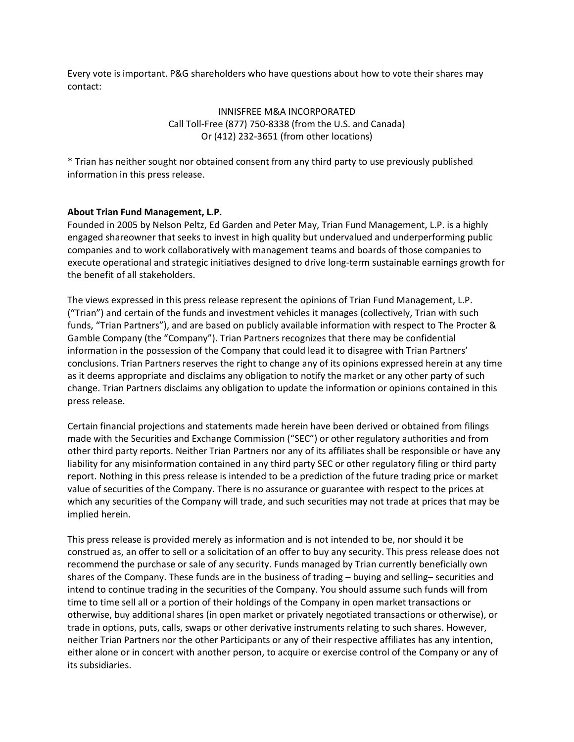Every vote is important. P&G shareholders who have questions about how to vote their shares may contact:

> INNISFREE M&A INCORPORATED Call Toll-Free (877) 750-8338 (from the U.S. and Canada) Or (412) 232-3651 (from other locations)

\* Trian has neither sought nor obtained consent from any third party to use previously published information in this press release.

## **About Trian Fund Management, L.P.**

Founded in 2005 by Nelson Peltz, Ed Garden and Peter May, Trian Fund Management, L.P. is a highly engaged shareowner that seeks to invest in high quality but undervalued and underperforming public companies and to work collaboratively with management teams and boards of those companies to execute operational and strategic initiatives designed to drive long-term sustainable earnings growth for the benefit of all stakeholders.

The views expressed in this press release represent the opinions of Trian Fund Management, L.P. ("Trian") and certain of the funds and investment vehicles it manages (collectively, Trian with such funds, "Trian Partners"), and are based on publicly available information with respect to The Procter & Gamble Company (the "Company"). Trian Partners recognizes that there may be confidential information in the possession of the Company that could lead it to disagree with Trian Partners' conclusions. Trian Partners reserves the right to change any of its opinions expressed herein at any time as it deems appropriate and disclaims any obligation to notify the market or any other party of such change. Trian Partners disclaims any obligation to update the information or opinions contained in this press release.

Certain financial projections and statements made herein have been derived or obtained from filings made with the Securities and Exchange Commission ("SEC") or other regulatory authorities and from other third party reports. Neither Trian Partners nor any of its affiliates shall be responsible or have any liability for any misinformation contained in any third party SEC or other regulatory filing or third party report. Nothing in this press release is intended to be a prediction of the future trading price or market value of securities of the Company. There is no assurance or guarantee with respect to the prices at which any securities of the Company will trade, and such securities may not trade at prices that may be implied herein.

This press release is provided merely as information and is not intended to be, nor should it be construed as, an offer to sell or a solicitation of an offer to buy any security. This press release does not recommend the purchase or sale of any security. Funds managed by Trian currently beneficially own shares of the Company. These funds are in the business of trading – buying and selling– securities and intend to continue trading in the securities of the Company. You should assume such funds will from time to time sell all or a portion of their holdings of the Company in open market transactions or otherwise, buy additional shares (in open market or privately negotiated transactions or otherwise), or trade in options, puts, calls, swaps or other derivative instruments relating to such shares. However, neither Trian Partners nor the other Participants or any of their respective affiliates has any intention, either alone or in concert with another person, to acquire or exercise control of the Company or any of its subsidiaries.